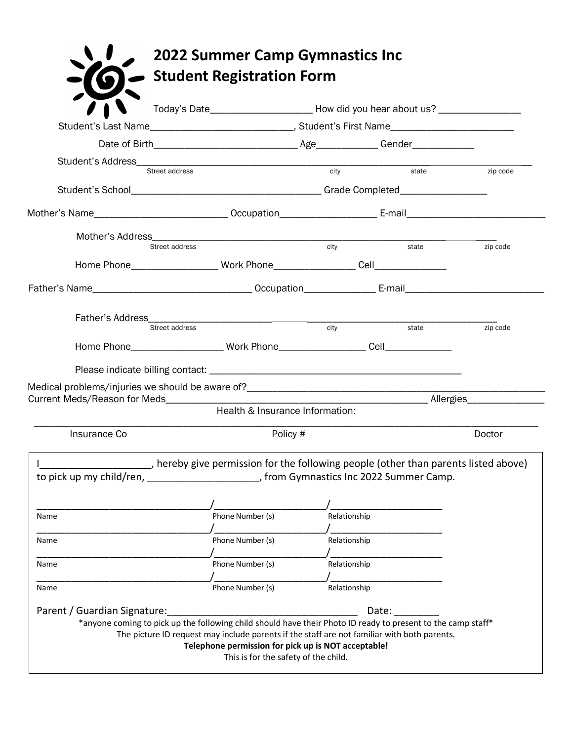|                                                                                        | Student's Address<br>Street address<br>Street address<br>Street and The Street Address<br>Street Address<br>Street Address<br>Street Address<br>Street Address<br>Street Address<br>Street Address<br>Street Address<br>Street Address<br>Street Addre |                   | $\overline{\phantom{a}}$ state | zip code |
|----------------------------------------------------------------------------------------|--------------------------------------------------------------------------------------------------------------------------------------------------------------------------------------------------------------------------------------------------------|-------------------|--------------------------------|----------|
|                                                                                        |                                                                                                                                                                                                                                                        |                   |                                |          |
|                                                                                        |                                                                                                                                                                                                                                                        |                   |                                |          |
|                                                                                        |                                                                                                                                                                                                                                                        |                   |                                |          |
| Street address                                                                         |                                                                                                                                                                                                                                                        | $\overline{city}$ | state                          | zip code |
|                                                                                        |                                                                                                                                                                                                                                                        |                   |                                |          |
|                                                                                        |                                                                                                                                                                                                                                                        |                   |                                |          |
|                                                                                        |                                                                                                                                                                                                                                                        |                   |                                |          |
| Street address                                                                         |                                                                                                                                                                                                                                                        | city              | state                          | zip code |
|                                                                                        |                                                                                                                                                                                                                                                        |                   |                                |          |
|                                                                                        |                                                                                                                                                                                                                                                        |                   |                                |          |
|                                                                                        |                                                                                                                                                                                                                                                        |                   |                                |          |
|                                                                                        |                                                                                                                                                                                                                                                        |                   |                                |          |
|                                                                                        |                                                                                                                                                                                                                                                        |                   |                                |          |
|                                                                                        | Health & Insurance Information:                                                                                                                                                                                                                        |                   |                                |          |
| Insurance Co                                                                           | Policy #                                                                                                                                                                                                                                               |                   |                                | Doctor   |
|                                                                                        | _____, hereby give permission for the following people (other than parents listed above)                                                                                                                                                               |                   |                                |          |
| to pick up my child/ren, ______________________, from Gymnastics Inc 2022 Summer Camp. |                                                                                                                                                                                                                                                        |                   |                                |          |
|                                                                                        |                                                                                                                                                                                                                                                        |                   |                                |          |
|                                                                                        | Phone Number (s)                                                                                                                                                                                                                                       | Relationship      |                                |          |
| Name<br>Name                                                                           | Phone Number (s)                                                                                                                                                                                                                                       | Relationship      |                                |          |
|                                                                                        |                                                                                                                                                                                                                                                        |                   |                                |          |
|                                                                                        | Phone Number (s)                                                                                                                                                                                                                                       | Relationship      |                                |          |
| Name<br>Name                                                                           | Phone Number (s)                                                                                                                                                                                                                                       | Relationship      |                                |          |